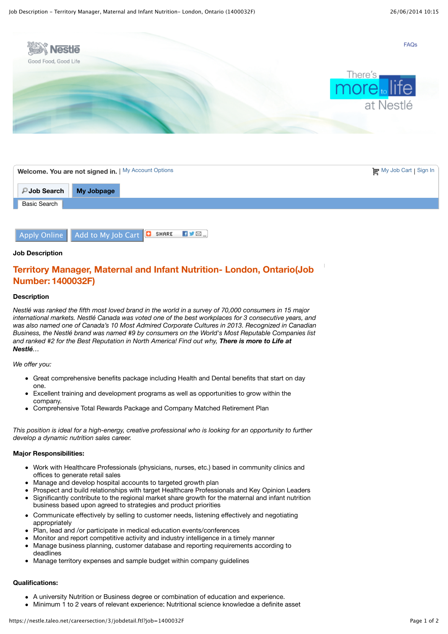

| Welcome. You are not signed in.   My Account Options |            | My Job Cart   Sign In |
|------------------------------------------------------|------------|-----------------------|
| <b>PJob Search</b>                                   | My Jobpage |                       |
| Basic Search                                         |            |                       |
|                                                      |            |                       |

|  | Apply Online   Add to My Job Cart   C SHARE   1 V B |  |  |
|--|-----------------------------------------------------|--|--|
|--|-----------------------------------------------------|--|--|

#### **Job Description**

# **Territory Manager, Maternal and Infant Nutrition- London, Ontario(Job Number: 1400032F)**

#### **Description**

*Nestlé was ranked the fifth most loved brand in the world in a survey of 70,000 consumers in 15 major international markets. Nestlé Canada was voted one of the best workplaces for 3 consecutive years, and was also named one of Canada's 10 Most Admired Corporate Cultures in 2013. Recognized in Canadian Business, the Nestlé brand was named #9 by consumers on the World's Most Reputable Companies list and ranked #2 for the Best Reputation in North America! Find out why, There is more to Life at Nestlé…*

*We offer you:*

- Great comprehensive benefits package including Health and Dental benefits that start on day one.
- Excellent training and development programs as well as opportunities to grow within the company.
- Comprehensive Total Rewards Package and Company Matched Retirement Plan

*This position is ideal for a high-energy, creative professional who is looking for an opportunity to further develop a dynamic nutrition sales career.*

#### **Major Responsibilities:**

- Work with Healthcare Professionals (physicians, nurses, etc.) based in community clinics and offices to generate retail sales
- Manage and develop hospital accounts to targeted growth plan
- Prospect and build relationships with target Healthcare Professionals and Key Opinion Leaders
- Significantly contribute to the regional market share growth for the maternal and infant nutrition business based upon agreed to strategies and product priorities
- Communicate effectively by selling to customer needs, listening effectively and negotiating appropriately
- Plan, lead and /or participate in medical education events/conferences
- Monitor and report competitive activity and industry intelligence in a timely manner
- Manage business planning, customer database and reporting requirements according to deadlines
- Manage territory expenses and sample budget within company guidelines

### **Qualifications:**

- A university Nutrition or Business degree or combination of education and experience.
- Minimum 1 to 2 years of relevant experience; Nutritional science knowledge a definite asset